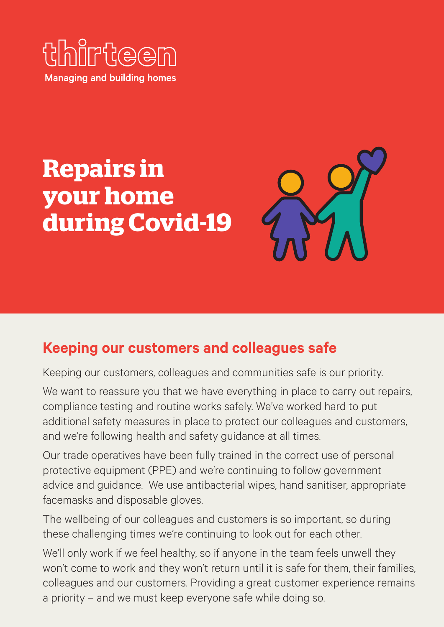

# **Repairs in your home during Covid-19**



# **Keeping our customers and colleagues safe**

Keeping our customers, colleagues and communities safe is our priority.

We want to reassure you that we have everything in place to carry out repairs, compliance testing and routine works safely. We've worked hard to put additional safety measures in place to protect our colleagues and customers, and we're following health and safety guidance at all times.

Our trade operatives have been fully trained in the correct use of personal protective equipment (PPE) and we're continuing to follow government advice and guidance. We use antibacterial wipes, hand sanitiser, appropriate facemasks and disposable gloves.

The wellbeing of our colleagues and customers is so important, so during these challenging times we're continuing to look out for each other.

We'll only work if we feel healthy, so if anyone in the team feels unwell they won't come to work and they won't return until it is safe for them, their families, colleagues and our customers. Providing a great customer experience remains a priority – and we must keep everyone safe while doing so.